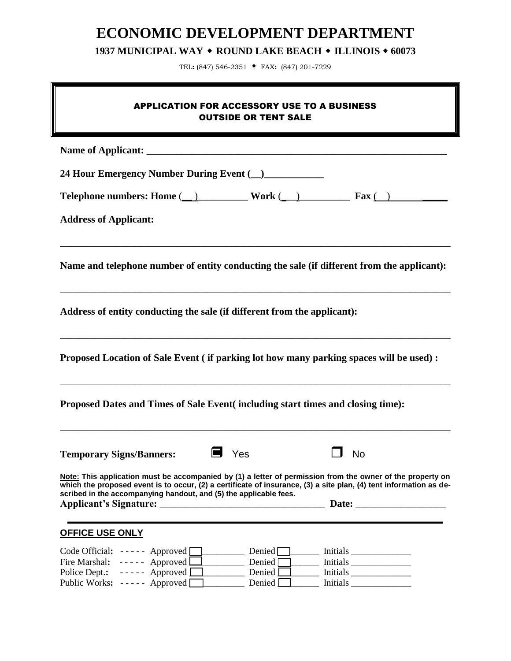# **ECONOMIC DEVELOPMENT DEPARTMENT**

**1937 MUNICIPAL WAY ROUND LAKE BEACH ILLINOIS 60073** 

TEL**:** (847) 546-2351 FAX**:** (847) 201-7229

# APPLICATION FOR ACCESSORY USE TO A BUSINESS OUTSIDE OR TENT SALE

Name of Applicant: **24 Hour Emergency Number During Event (\_\_)\_\_\_\_\_\_\_\_\_\_\_\_ Telephone numbers:** Home  $(\_)$  **Work**  $(\_)$  **Fax**  $(\_)$ **Address of Applicant:**  \_\_\_\_\_\_\_\_\_\_\_\_\_\_\_\_\_\_\_\_\_\_\_\_\_\_\_\_\_\_\_\_\_\_\_\_\_\_\_\_\_\_\_\_\_\_\_\_\_\_\_\_\_\_\_\_\_\_\_\_\_\_\_\_\_\_\_\_\_\_\_\_\_\_\_\_\_\_ **Name and telephone number of entity conducting the sale (if different from the applicant):**  \_\_\_\_\_\_\_\_\_\_\_\_\_\_\_\_\_\_\_\_\_\_\_\_\_\_\_\_\_\_\_\_\_\_\_\_\_\_\_\_\_\_\_\_\_\_\_\_\_\_\_\_\_\_\_\_\_\_\_\_\_\_\_\_\_\_\_\_\_\_\_\_\_\_\_\_\_\_ **Address of entity conducting the sale (if different from the applicant):** \_\_\_\_\_\_\_\_\_\_\_\_\_\_\_\_\_\_\_\_\_\_\_\_\_\_\_\_\_\_\_\_\_\_\_\_\_\_\_\_\_\_\_\_\_\_\_\_\_\_\_\_\_\_\_\_\_\_\_\_\_\_\_\_\_\_\_\_\_\_\_\_\_\_\_\_\_\_ **Proposed Location of Sale Event ( if parking lot how many parking spaces will be used) :** \_\_\_\_\_\_\_\_\_\_\_\_\_\_\_\_\_\_\_\_\_\_\_\_\_\_\_\_\_\_\_\_\_\_\_\_\_\_\_\_\_\_\_\_\_\_\_\_\_\_\_\_\_\_\_\_\_\_\_\_\_\_\_\_\_\_\_\_\_\_\_\_\_\_\_\_\_\_ **Proposed Dates and Times of Sale Event( including start times and closing time):** \_\_\_\_\_\_\_\_\_\_\_\_\_\_\_\_\_\_\_\_\_\_\_\_\_\_\_\_\_\_\_\_\_\_\_\_\_\_\_\_\_\_\_\_\_\_\_\_\_\_\_\_\_\_\_\_\_\_\_\_\_\_\_\_\_\_\_\_\_\_\_\_\_\_\_\_\_\_ **Temporary Signs/Banners:** ■ Yes □ No **Note: This application must be accompanied by (1) a letter of permission from the owner of the property on which the proposed event is to occur, (2) a certificate of insurance, (3) a site plan, (4) tent information as described in the accompanying handout, and (5) the applicable fees. Applicant's Signature:** \_\_\_\_\_\_\_\_\_\_\_\_\_\_\_\_\_\_\_\_\_\_\_\_\_\_\_\_\_\_\_\_\_ **Date:** \_\_\_\_\_\_\_\_\_\_\_\_\_\_\_\_\_\_ **OFFICE USE ONLY** Code Official:  $\overline{\phantom{a}} \quad \overline{\phantom{a}}$  Approved  $\Box$  Denied  $\Box$  Initials  $\Box$ Fire Marshal: ----- Approved Denied Denied Initials Limitials Limitials Limitials Limitials Limitials Limitials Limitials Limitials Limitials Limitials Limitials Limitials Limitials Limitials Limitials Limitials Limitials Police Dept.: ----- Approved **Quarter and Denied Quarter** Initials \_\_\_\_\_\_\_\_\_\_\_\_\_\_ Public Works: ----- Approved Denied Denied Initials